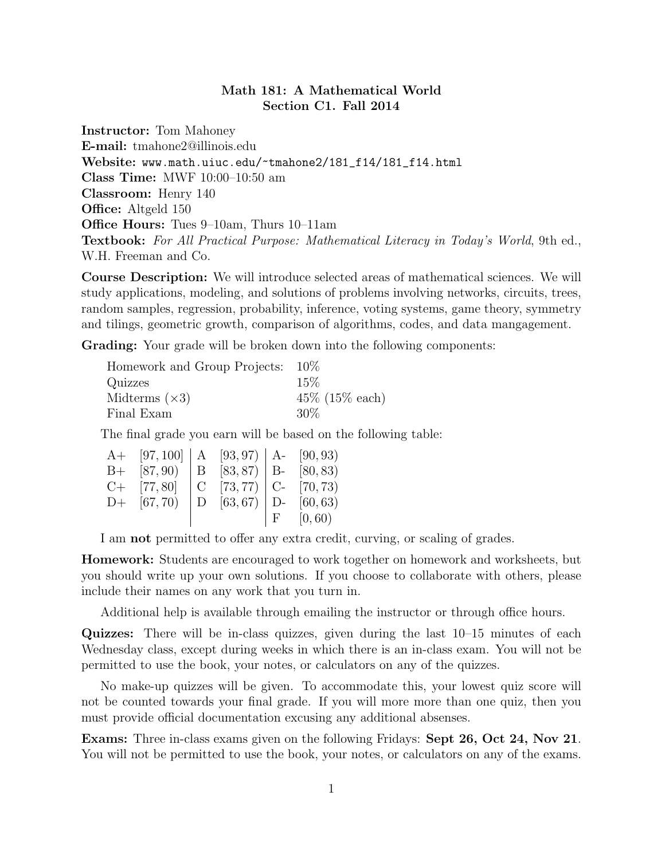## Math 181: A Mathematical World Section C1. Fall 2014

Instructor: Tom Mahoney E-mail: tmahone2@illinois.edu Website: www.math.uiuc.edu/~tmahone2/181\_f14/181\_f14.html Class Time: MWF 10:00–10:50 am Classroom: Henry 140 **Office:** Altgeld 150 Office Hours: Tues 9–10am, Thurs 10–11am Textbook: For All Practical Purpose: Mathematical Literacy in Today's World, 9th ed., W.H. Freeman and Co.

Course Description: We will introduce selected areas of mathematical sciences. We will study applications, modeling, and solutions of problems involving networks, circuits, trees, random samples, regression, probability, inference, voting systems, game theory, symmetry and tilings, geometric growth, comparison of algorithms, codes, and data mangagement.

Grading: Your grade will be broken down into the following components:

| Homework and Group Projects: 10\% |                    |
|-----------------------------------|--------------------|
| Quizzes                           | 15%                |
| Midterms $(x3)$                   | $45\%$ (15\% each) |
| Final Exam                        | $30\%$             |

The final grade you earn will be based on the following table:

| $A+$ [97, 100]   A [93, 97)   A [90, 93)     |  |               |
|----------------------------------------------|--|---------------|
| B+ $[87, 90]$   B $[83, 87]$   B- $[80, 83)$ |  |               |
| $C+$ [77,80]   C [73,77)   C- [70,73)        |  |               |
| D+ $[67, 70)$ D $[63, 67)$ D- $[60, 63)$     |  |               |
|                                              |  | $F = [0, 60)$ |
|                                              |  |               |

I am not permitted to offer any extra credit, curving, or scaling of grades.

Homework: Students are encouraged to work together on homework and worksheets, but you should write up your own solutions. If you choose to collaborate with others, please include their names on any work that you turn in.

Additional help is available through emailing the instructor or through office hours.

Quizzes: There will be in-class quizzes, given during the last 10–15 minutes of each Wednesday class, except during weeks in which there is an in-class exam. You will not be permitted to use the book, your notes, or calculators on any of the quizzes.

No make-up quizzes will be given. To accommodate this, your lowest quiz score will not be counted towards your final grade. If you will more more than one quiz, then you must provide official documentation excusing any additional absenses.

Exams: Three in-class exams given on the following Fridays: Sept 26, Oct 24, Nov 21. You will not be permitted to use the book, your notes, or calculators on any of the exams.